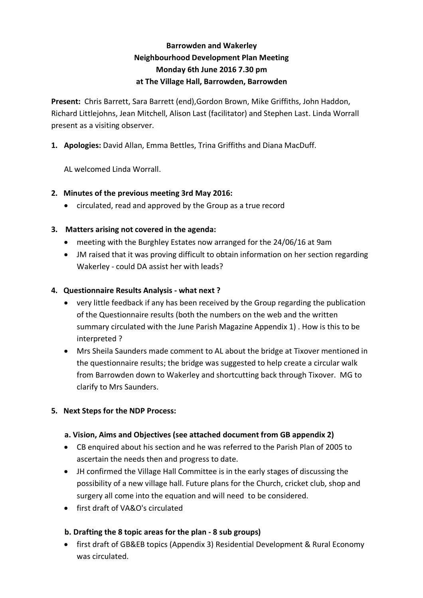# **Barrowden and Wakerley Neighbourhood Development Plan Meeting Monday 6th June 2016 7.30 pm at The Village Hall, Barrowden, Barrowden**

**Present:** Chris Barrett, Sara Barrett (end),Gordon Brown, Mike Griffiths, John Haddon, Richard Littlejohns, Jean Mitchell, Alison Last (facilitator) and Stephen Last. Linda Worrall present as a visiting observer.

**1. Apologies:** David Allan, Emma Bettles, Trina Griffiths and Diana MacDuff.

AL welcomed Linda Worrall.

### **2. Minutes of the previous meeting 3rd May 2016:**

• circulated, read and approved by the Group as a true record

### **3. Matters arising not covered in the agenda:**

- meeting with the Burghley Estates now arranged for the 24/06/16 at 9am
- JM raised that it was proving difficult to obtain information on her section regarding Wakerley - could DA assist her with leads?

### **4. Questionnaire Results Analysis - what next ?**

- very little feedback if any has been received by the Group regarding the publication of the Questionnaire results (both the numbers on the web and the written summary circulated with the June Parish Magazine Appendix 1) . How is this to be interpreted ?
- Mrs Sheila Saunders made comment to AL about the bridge at Tixover mentioned in the questionnaire results; the bridge was suggested to help create a circular walk from Barrowden down to Wakerley and shortcutting back through Tixover. MG to clarify to Mrs Saunders.

#### **5. Next Steps for the NDP Process:**

#### **a. Vision, Aims and Objectives (see attached document from GB appendix 2)**

- CB enquired about his section and he was referred to the Parish Plan of 2005 to ascertain the needs then and progress to date.
- JH confirmed the Village Hall Committee is in the early stages of discussing the possibility of a new village hall. Future plans for the Church, cricket club, shop and surgery all come into the equation and will need to be considered.
- first draft of VA&O's circulated

#### **b. Drafting the 8 topic areas for the plan - 8 sub groups)**

• first draft of GB&EB topics (Appendix 3) Residential Development & Rural Economy was circulated.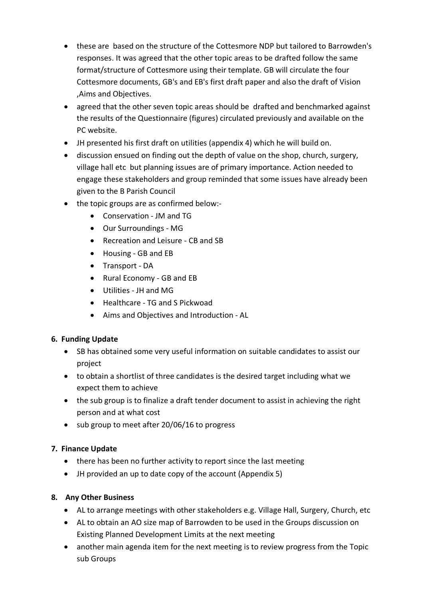- these are based on the structure of the Cottesmore NDP but tailored to Barrowden's responses. It was agreed that the other topic areas to be drafted follow the same format/structure of Cottesmore using their template. GB will circulate the four Cottesmore documents, GB's and EB's first draft paper and also the draft of Vision ,Aims and Objectives.
- agreed that the other seven topic areas should be drafted and benchmarked against the results of the Questionnaire (figures) circulated previously and available on the PC website.
- JH presented his first draft on utilities (appendix 4) which he will build on.
- discussion ensued on finding out the depth of value on the shop, church, surgery, village hall etc but planning issues are of primary importance. Action needed to engage these stakeholders and group reminded that some issues have already been given to the B Parish Council
- the topic groups are as confirmed below:-
	- Conservation JM and TG
	- Our Surroundings MG
	- Recreation and Leisure CB and SB
	- Housing GB and EB
	- Transport DA
	- Rural Economy GB and EB
	- Utilities JH and MG
	- Healthcare TG and S Pickwoad
	- Aims and Objectives and Introduction AL

# **6. Funding Update**

- SB has obtained some very useful information on suitable candidates to assist our project
- to obtain a shortlist of three candidates is the desired target including what we expect them to achieve
- the sub group is to finalize a draft tender document to assist in achieving the right person and at what cost
- sub group to meet after 20/06/16 to progress

# **7. Finance Update**

- there has been no further activity to report since the last meeting
- JH provided an up to date copy of the account (Appendix 5)

# **8. Any Other Business**

- AL to arrange meetings with other stakeholders e.g. Village Hall, Surgery, Church, etc
- AL to obtain an AO size map of Barrowden to be used in the Groups discussion on Existing Planned Development Limits at the next meeting
- another main agenda item for the next meeting is to review progress from the Topic sub Groups